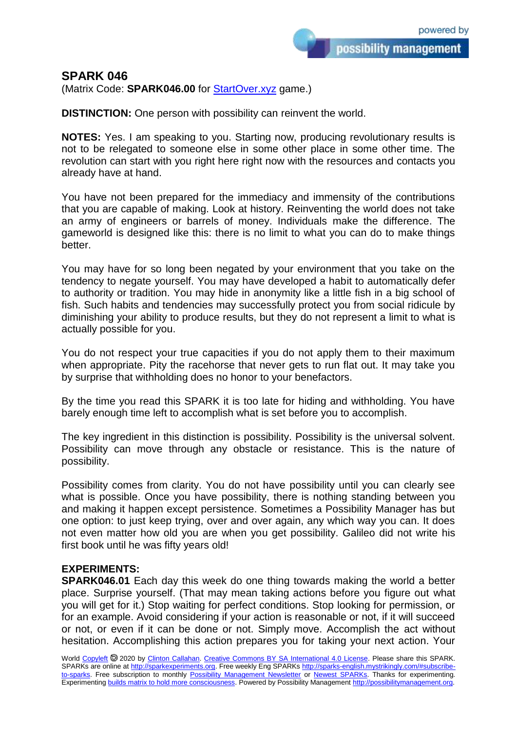possibility management

(Matrix Code: **SPARK046.00** for **StartOver.xyz** game.)

**DISTINCTION:** One person with possibility can reinvent the world.

**NOTES:** Yes. I am speaking to you. Starting now, producing revolutionary results is not to be relegated to someone else in some other place in some other time. The revolution can start with you right here right now with the resources and contacts you already have at hand.

You have not been prepared for the immediacy and immensity of the contributions that you are capable of making. Look at history. Reinventing the world does not take an army of engineers or barrels of money. Individuals make the difference. The gameworld is designed like this: there is no limit to what you can do to make things better.

You may have for so long been negated by your environment that you take on the tendency to negate yourself. You may have developed a habit to automatically defer to authority or tradition. You may hide in anonymity like a little fish in a big school of fish. Such habits and tendencies may successfully protect you from social ridicule by diminishing your ability to produce results, but they do not represent a limit to what is actually possible for you.

You do not respect your true capacities if you do not apply them to their maximum when appropriate. Pity the racehorse that never gets to run flat out. It may take you by surprise that withholding does no honor to your benefactors.

By the time you read this SPARK it is too late for hiding and withholding. You have barely enough time left to accomplish what is set before you to accomplish.

The key ingredient in this distinction is possibility. Possibility is the universal solvent. Possibility can move through any obstacle or resistance. This is the nature of possibility.

Possibility comes from clarity. You do not have possibility until you can clearly see what is possible. Once you have possibility, there is nothing standing between you and making it happen except persistence. Sometimes a Possibility Manager has but one option: to just keep trying, over and over again, any which way you can. It does not even matter how old you are when you get possibility. Galileo did not write his first book until he was fifty years old!

## **EXPERIMENTS:**

**SPARK046.01** Each day this week do one thing towards making the world a better place. Surprise yourself. (That may mean taking actions before you figure out what you will get for it.) Stop waiting for perfect conditions. Stop looking for permission, or for an example. Avoid considering if your action is reasonable or not, if it will succeed or not, or even if it can be done or not. Simply move. Accomplish the act without hesitation. Accomplishing this action prepares you for taking your next action. Your